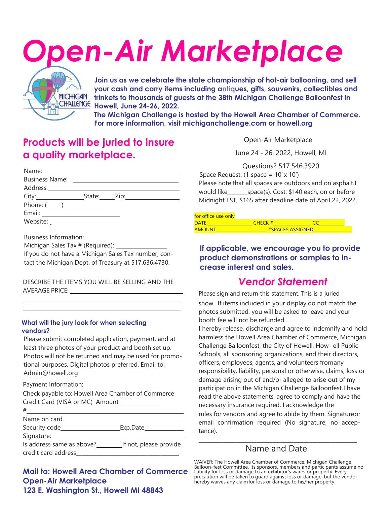# *Open-Air Marketplace*



**Join us as we celebrate the state championship of hot-air ballooning, and sell your cash and carry items including antiques, gifts, souvenirs, collectibles and trinkets to thousands of guests at the 38th Michigan Challenge Balloonfest in Howell, June 24-26, 2022.**

**The Michigan Challenge is hosted by the Howell Area Chamber of Commerce. For more information, visit michiganchallenge.com or howell.org**

# **Products will be juried to insure a quality marketplace.**

| Phone: $(\_\_\_\_$ |  |
|--------------------|--|
|                    |  |
| Website:           |  |

Business Information:

Michigan Sales Tax # (Required):

If you do not have a Michigan Sales Tax number, contact the Michigan Dept. of Treasury at 517.636.4730.

DESCRIBE THE ITEMS YOU WILL BE SELLING AND THE AVERAGE PRICE:

#### **What will the jury look for when selecting vendors?**

Please submit completed application, payment, and at least three photos of your product and booth set up. Photos will not be returned and may be used for promotional purposes. Digital photos preferred. Email to: Admin@howell.org

P . ayment Information:

Check payable to: Howell Area Chamber of Commerce Credit Card (VISA or MC) Amount

| #                         |                        |
|---------------------------|------------------------|
| Name on card              |                        |
| Security code_            | Exp.Date_              |
| Signature:                |                        |
| Is address same as above? | If not, please provide |
| credit card address       |                        |

**Mail to: Howell Area Chamber of Commerce Open-Air Marketplace 123 E. Washington St., Howell MI 48843**

Open-Air Marketplace

June 24 - 26, 2022, Howell, MI

Questions? 517.546.3920

Space Request:  $(1 \text{ space} = 10' \times 10')$ Please note that all spaces are outdoors and on asphalt.I would like space(s). Cost: \$140 each, on or before Midnight EST, \$165 after deadline date of April 22, 2022.

| for office use only |                         |  |  |
|---------------------|-------------------------|--|--|
| DATF <sup>.</sup>   | CHFCK#                  |  |  |
| <b>AMOUNT</b>       | <b>#SPACES ASSIGNED</b> |  |  |

### **If applicable, we encourage you to provide product demonstrations or samples to increase interest and sales.**

## *Vendor Statement*

Please sign and return this statement. This is a juried show. If items included in your display do not match the photos submitted, you will be asked to leave and your booth fee will not be refunded.

I hereby release, discharge and agree to indemnify and hold harmless the Howell Area Chamber of Commerce, Michigan Challenge Balloonfest, the City of Howell, How- ell Public Schools, all sponsoring organizations, and their directors, officers, employees, agents, and volunteers fromany responsibility, liability, personal or otherwise, claims, loss or damage arising out of and/or alleged to arise out of my participation in the Michigan Challenge Balloonfest.I have read the above statements, agree to comply and have the necessary insurance required. I acknowledge the rules for vendors and agree to abide by them. Signatureor email confirmation required (No signature, no acceptance).

#### \_\_\_\_\_\_\_\_\_\_\_\_\_\_\_\_\_\_\_\_\_\_\_\_\_\_\_\_\_\_\_\_\_\_\_\_\_\_\_\_\_\_\_\_\_\_\_\_\_\_\_\_\_\_\_\_\_\_\_\_ Name and Date

WAIVER: The Howell Area Chamber of Commerce, Michigan Challenge<br>Balloon-fest Committee, its sponsors, members and participants assume no<br>liability for loss or damage to an exhibitor's wares or property. Every<br>precaution wi